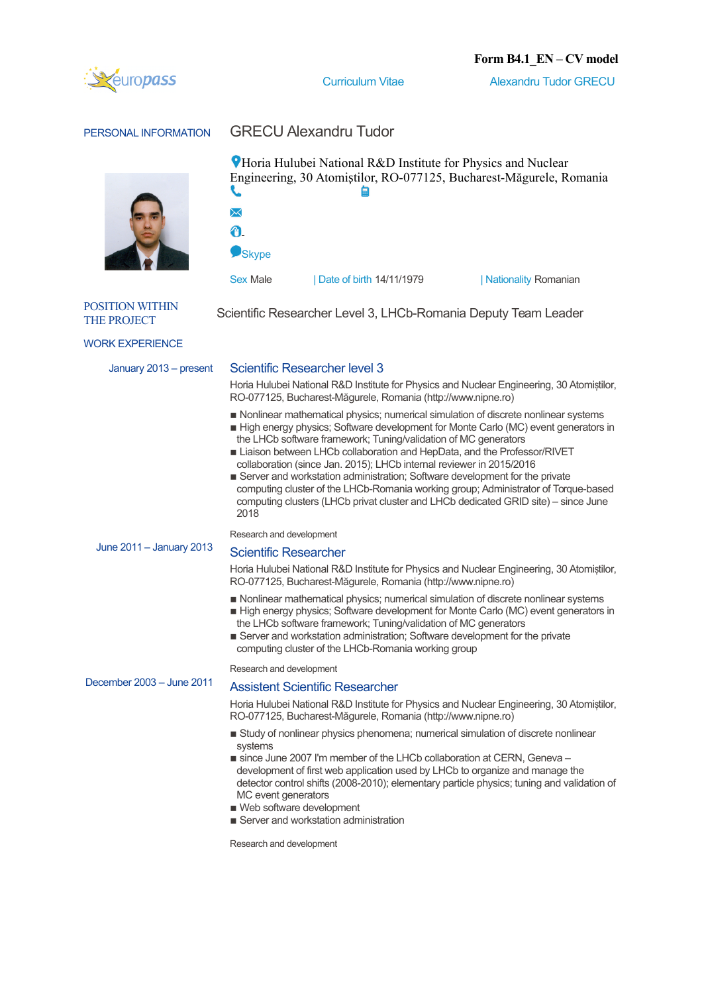

**Curriculum Vitae Alexandru Tudor GRECU** 

### PERSONAL INFORMATION GRECU Alexandru Tudor



**PHoria Hulubei National R&D Institute for Physics and Nuclear** Engineering, 30 Atomiștilor, RO-077125, Bucharest-Măgurele, Romania  $\times$ 

**Skype** 

A

Sex Male | Date of birth 14/11/1979 | Nationality Romanian

#### POSITION WITHIN TOSITION WITHIN Scientific Researcher Level 3, LHCb-Romania Deputy Team Leader

WORK EXPERIENCE

#### January 2013 – present Scientific Researcher level 3

Horia Hulubei National R&D Institute for Physics and Nuclear Engineering, 30 Atomistilor, RO-077125, Bucharest-Măgurele, Romania (http://www.nipne.ro)

- Nonlinear mathematical physics; numerical simulation of discrete nonlinear systems
- **Example 1** High energy physics; Software development for Monte Carlo (MC) event generators in the LHCb software framework; Tuning/validation of MC generators
- **Example 1** Liaison between LHCb collaboration and HepData, and the Professor/RIVET collaboration (since Jan. 2015); LHCb internal reviewer in 2015/2016
- Server and workstation administration; Software development for the private computing cluster of the LHCb-Romania working group; Administrator of Torque-based computing clusters (LHCb privat cluster and LHCb dedicated GRID site) – since June 2018

Research and development

# June 2011 – January 2013 Scientific Researcher

Horia Hulubei National R&D Institute for Physics and Nuclear Engineering, 30 Atomistilor, RO-077125, Bucharest-Măgurele, Romania (http://www.nipne.ro)

- Nonlinear mathematical physics; numerical simulation of discrete nonlinear systems
- **Example 1** High energy physics; Software development for Monte Carlo (MC) event generators in the LHCb software framework; Tuning/validation of MC generators
- Server and workstation administration; Software development for the private computing cluster of the LHCb-Romania working group

Research and development

# December 2003 – June 2011 Assistent Scientific Researcher

Horia Hulubei National R&D Institute for Physics and Nuclear Engineering, 30 Atomiștilor, RO-077125, Bucharest-Măgurele, Romania (http://www.nipne.ro)

- **Example 3** Study of nonlinear physics phenomena; numerical simulation of discrete nonlinear systems
- since June 2007 I'm member of the LHCb collaboration at CERN, Geneva development of first web application used by LHCb to organize and manage the detector control shifts (2008-2010); elementary particle physics; tuning and validation of MC event generators
- Web software development
- Server and workstation administration

Research and development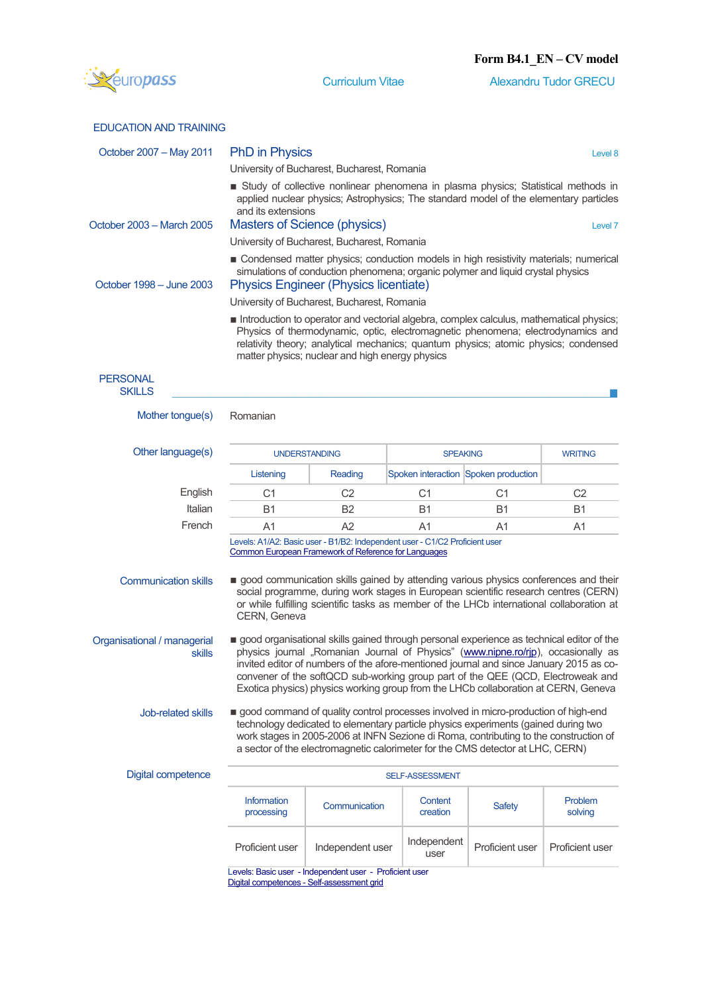

Curriculum Vitae Alexandru Tudor GRECU

|  |  | <b>EDUCATION AND TRAINING</b> |
|--|--|-------------------------------|
|  |  |                               |

| October 2007 - May 2011                      | <b>PhD</b> in Physics                                                                                                                                                                                                                                                                                                                                                                                                                            | Level 8                                                                                                                                    |                                      |                 |                    |  |  |  |  |
|----------------------------------------------|--------------------------------------------------------------------------------------------------------------------------------------------------------------------------------------------------------------------------------------------------------------------------------------------------------------------------------------------------------------------------------------------------------------------------------------------------|--------------------------------------------------------------------------------------------------------------------------------------------|--------------------------------------|-----------------|--------------------|--|--|--|--|
|                                              | University of Bucharest, Bucharest, Romania                                                                                                                                                                                                                                                                                                                                                                                                      |                                                                                                                                            |                                      |                 |                    |  |  |  |  |
|                                              | Study of collective nonlinear phenomena in plasma physics; Statistical methods in<br>applied nuclear physics; Astrophysics; The standard model of the elementary particles<br>and its extensions                                                                                                                                                                                                                                                 |                                                                                                                                            |                                      |                 |                    |  |  |  |  |
| October 2003 - March 2005                    | Masters of Science (physics)<br>Level 7                                                                                                                                                                                                                                                                                                                                                                                                          |                                                                                                                                            |                                      |                 |                    |  |  |  |  |
|                                              | University of Bucharest, Bucharest, Romania                                                                                                                                                                                                                                                                                                                                                                                                      |                                                                                                                                            |                                      |                 |                    |  |  |  |  |
| October 1998 - June 2003                     | Condensed matter physics; conduction models in high resistivity materials; numerical<br>simulations of conduction phenomena; organic polymer and liquid crystal physics<br><b>Physics Engineer (Physics licentiate)</b>                                                                                                                                                                                                                          |                                                                                                                                            |                                      |                 |                    |  |  |  |  |
|                                              | University of Bucharest, Bucharest, Romania                                                                                                                                                                                                                                                                                                                                                                                                      |                                                                                                                                            |                                      |                 |                    |  |  |  |  |
|                                              | Introduction to operator and vectorial algebra, complex calculus, mathematical physics;<br>Physics of thermodynamic, optic, electromagnetic phenomena; electrodynamics and<br>relativity theory; analytical mechanics; quantum physics; atomic physics; condensed<br>matter physics; nuclear and high energy physics                                                                                                                             |                                                                                                                                            |                                      |                 |                    |  |  |  |  |
| <b>PERSONAL</b><br><b>SKILLS</b>             |                                                                                                                                                                                                                                                                                                                                                                                                                                                  |                                                                                                                                            |                                      |                 |                    |  |  |  |  |
| Mother tongue(s)                             | Romanian                                                                                                                                                                                                                                                                                                                                                                                                                                         |                                                                                                                                            |                                      |                 |                    |  |  |  |  |
| Other language(s)                            | <b>UNDERSTANDING</b>                                                                                                                                                                                                                                                                                                                                                                                                                             |                                                                                                                                            | <b>SPEAKING</b>                      | <b>WRITING</b>  |                    |  |  |  |  |
|                                              | Listening                                                                                                                                                                                                                                                                                                                                                                                                                                        | Reading                                                                                                                                    | Spoken interaction Spoken production |                 |                    |  |  |  |  |
| English                                      | C <sub>1</sub>                                                                                                                                                                                                                                                                                                                                                                                                                                   | C <sub>2</sub>                                                                                                                             | C <sub>1</sub>                       | C <sub>1</sub>  | C <sub>2</sub>     |  |  |  |  |
| Italian                                      | <b>B1</b>                                                                                                                                                                                                                                                                                                                                                                                                                                        | <b>B2</b>                                                                                                                                  | <b>B1</b>                            | B1              | <b>B1</b>          |  |  |  |  |
| French                                       | A1                                                                                                                                                                                                                                                                                                                                                                                                                                               | A2                                                                                                                                         | A1                                   | A <sub>1</sub>  | A1                 |  |  |  |  |
|                                              |                                                                                                                                                                                                                                                                                                                                                                                                                                                  | Levels: A1/A2: Basic user - B1/B2: Independent user - C1/C2 Proficient user<br><b>Common European Framework of Reference for Languages</b> |                                      |                 |                    |  |  |  |  |
| <b>Communication skills</b>                  | good communication skills gained by attending various physics conferences and their<br>social programme, during work stages in European scientific research centres (CERN)<br>or while fulfilling scientific tasks as member of the LHCb international collaboration at<br>CERN, Geneva                                                                                                                                                          |                                                                                                                                            |                                      |                 |                    |  |  |  |  |
| Organisational / managerial<br><b>skills</b> | good organisational skills gained through personal experience as technical editor of the<br>physics journal "Romanian Journal of Physics" (www.nipne.ro/rjp), occasionally as<br>invited editor of numbers of the afore-mentioned journal and since January 2015 as co-<br>convener of the softQCD sub-working group part of the QEE (QCD, Electroweak and<br>Exotica physics) physics working group from the LHCb collaboration at CERN, Geneva |                                                                                                                                            |                                      |                 |                    |  |  |  |  |
| Job-related skills                           | good command of quality control processes involved in micro-production of high-end<br>technology dedicated to elementary particle physics experiments (gained during two<br>work stages in 2005-2006 at INFN Sezione di Roma, contributing to the construction of<br>a sector of the electromagnetic calorimeter for the CMS detector at LHC, CERN)                                                                                              |                                                                                                                                            |                                      |                 |                    |  |  |  |  |
| Digital competence                           | <b>SELF-ASSESSMENT</b>                                                                                                                                                                                                                                                                                                                                                                                                                           |                                                                                                                                            |                                      |                 |                    |  |  |  |  |
|                                              | Information<br>processing                                                                                                                                                                                                                                                                                                                                                                                                                        | Communication                                                                                                                              | Content<br>creation                  | <b>Safety</b>   | Problem<br>solving |  |  |  |  |
|                                              | Proficient user                                                                                                                                                                                                                                                                                                                                                                                                                                  | Independent user                                                                                                                           | Independent<br>user                  | Proficient user | Proficient user    |  |  |  |  |
|                                              |                                                                                                                                                                                                                                                                                                                                                                                                                                                  |                                                                                                                                            |                                      |                 |                    |  |  |  |  |

Levels: Basic user - Independent user - Proficient user [Digital competences - Self-assessment grid](http://europass.cedefop.europa.eu/en/resources/digital-competences)